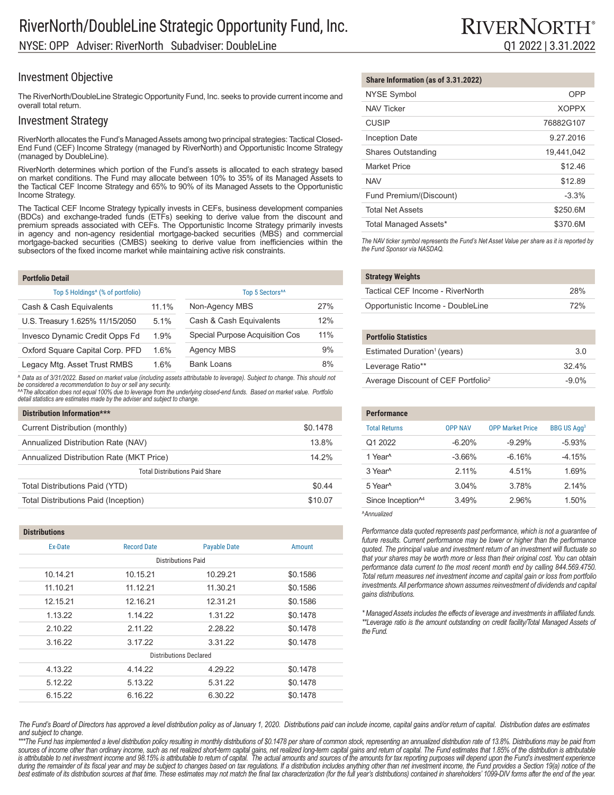### Investment Objective

The RiverNorth/DoubleLine Strategic Opportunity Fund, Inc. seeks to provide current income and overall total return.

### Investment Strategy

RiverNorth allocates the Fund's Managed Assets among two principal strategies: Tactical Closed-End Fund (CEF) Income Strategy (managed by RiverNorth) and Opportunistic Income Strategy (managed by DoubleLine).

RiverNorth determines which portion of the Fund's assets is allocated to each strategy based on market conditions. The Fund may allocate between 10% to 35% of its Managed Assets to the Tactical CEF Income Strategy and 65% to 90% of its Managed Assets to the Opportunistic Income Strategy.

The Tactical CEF Income Strategy typically invests in CEFs, business development companies (BDCs) and exchange-traded funds (ETFs) seeking to derive value from the discount and premium spreads associated with CEFs. The Opportunistic Income Strategy primarily invests in agency and non-agency residential mortgage-backed securities (MBS) and commercial mortgage-backed securities (CMBS) seeking to derive value from inefficiencies within the subsectors of the fixed income market while maintaining active risk constraints.

| <b>Portfolio Detail</b>                      |       |                                 |     |
|----------------------------------------------|-------|---------------------------------|-----|
| Top 5 Holdings <sup>4</sup> (% of portfolio) |       | Top 5 Sectors <sup>^^</sup>     |     |
| Cash & Cash Equivalents                      | 11.1% | Non-Agency MBS                  | 27% |
| U.S. Treasury 1.625% 11/15/2050              | 5.1%  | Cash & Cash Equivalents         | 12% |
| Invesco Dynamic Credit Opps Fd               | 1.9%  | Special Purpose Acquisition Cos | 11% |
| Oxford Square Capital Corp. PFD              | 1.6%  | <b>Agency MBS</b>               | 9%  |
| Legacy Mtg. Asset Trust RMBS                 | 1.6%  | <b>Bank Loans</b>               | 8%  |

*^ Data as of 3/31/2022. Based on market value (including assets attributable to leverage). Subject to change. This should not be considered a recommendation to buy or sell any security. ^^The allocation does not equal 100% due to leverage from the underlying closed-end funds. Based on market value. Portfolio* 

*detail statistics are estimates made by the adviser and subject to change.*

| Distribution Information***              |          |
|------------------------------------------|----------|
| Current Distribution (monthly)           | \$0.1478 |
| Annualized Distribution Rate (NAV)       | 13.8%    |
| Annualized Distribution Rate (MKT Price) | 14 2%    |
| <b>Total Distributions Paid Share</b>    |          |
| Total Distributions Paid (YTD)           | \$0.44   |
| Total Distributions Paid (Inception)     | \$10.07  |

### **Distributions** Ex-Date Record Date Payable Date Amount Distributions Paid 10.14.21 10.15.21 10.29.21 \$0.1586 11.10.21 11.12.21 11.30.21 \$0.1586 12.15.21 12.16.21 12.31.21 \$0.1586 1.13.22 1.14.22 1.31.22 \$0.1478 2.10.22 2.11.22 2.28.22 \$0.1478 3.16.22 3.17.22 3.31.22 \$0.1478 Distributions Declared 4.13.22 4.14.22 4.29.22 \$0.1478 5.12.22 5.13.22 5.31.22 \$0.1478 6.15.22 6.16.22 6.30.22 \$0.1478

#### **Share Information (as of 3.31.2022)**

| <b>NYSE Symbol</b>        | OPP          |
|---------------------------|--------------|
| <b>NAV Ticker</b>         | <b>XOPPX</b> |
| <b>CUSIP</b>              | 76882G107    |
| <b>Inception Date</b>     | 9 27 2016    |
| <b>Shares Outstanding</b> | 19.441.042   |
| <b>Market Price</b>       | \$12.46      |
| <b>NAV</b>                | \$12.89      |
| Fund Premium/(Discount)   | $-3.3%$      |
| <b>Total Net Assets</b>   | \$250.6M     |
| Total Managed Assets*     | \$370.6M     |

*The NAV ticker symbol represents the Fund's Net Asset Value per share as it is reported by the Fund Sponsor via NASDAQ.*

| <b>Strategy Weights</b>           |     |
|-----------------------------------|-----|
| Tactical CEF Income - RiverNorth  | 28% |
| Opportunistic Income - DoubleLine | 72% |

| rtfolio Statistics                    |  |
|---------------------------------------|--|
| timated Duration <sup>1</sup> (veare) |  |

| Estimated Duration <sup>1</sup> (years)        | 30       |
|------------------------------------------------|----------|
| Leverage Ratio**                               | 324%     |
| Average Discount of CEF Portfolio <sup>2</sup> | $-9.0\%$ |

| <b>Performance</b>            |                |                         |                               |
|-------------------------------|----------------|-------------------------|-------------------------------|
| <b>Total Returns</b>          | <b>OPP NAV</b> | <b>OPP Market Price</b> | <b>BBG US Agg<sup>3</sup></b> |
| Q1 2022                       | $-6.20%$       | $-9.29%$                | $-5.93%$                      |
| 1 Year <sup>^</sup>           | $-3.66%$       | $-6.16%$                | $-4.15%$                      |
| 3 Year <sup>^</sup>           | 211%           | 4.51%                   | 1.69%                         |
| 5 Year <sup>^</sup>           | 3.04%          | 3.78%                   | 214%                          |
| Since Inception <sup>14</sup> | 3.49%          | 2.96%                   | 1.50%                         |

*^Annualized*

P<sub>o</sub>

Performance data quoted represents past performance, which is not a guarantee of *future results. Current performance may be lower or higher than the performance quoted. The principal value and investment return of an investment will fluctuate so that your shares may be worth more or less than their original cost. You can obtain performance data current to the most recent month end by calling 844.569.4750. Total return measures net investment income and capital gain or loss from portfolio investments. All performance shown assumes reinvestment of dividends and capital gains distributions.*

*\* Managed Assets includes the effects of leverage and investments in affiliated funds. \*\*Leverage ratio is the amount outstanding on credit facility/Total Managed Assets of the Fund.*

*The Fund's Board of Directors has approved a level distribution policy as of January 1, 2020. Distributions paid can include income, capital gains and/or return of capital. Distribution dates are estimates and subject to change.*

*\*\*\*The Fund has implemented a level distribution policy resulting in monthly distributions of \$0.1478 per share of common stock, representing an annualized distribution rate of 13.8%. Distributions may be paid from*  sources of income other than ordinary income, such as net realized short-term capital gains, net realized long-term capital gains and retum of capital. The Fund estimates that 1.85% of the distribution is attributable *is attributable to net investment income and 98.15% is attributable to return of capital. The actual amounts and sources of the amounts for tax reporting purposes will depend upon the Fund's investment experience*  during the remainder of its fiscal year and may be subject to changes based on tax regulations. If a distribution includes anything other than net investment income, the Fund provides a Section 19(a) notice of the best estimate of its distribution sources at that time. These estimates may not match the final tax characterization (for the full year's distributions) contained in shareholders' 1099-DIV forms after the end of the year.